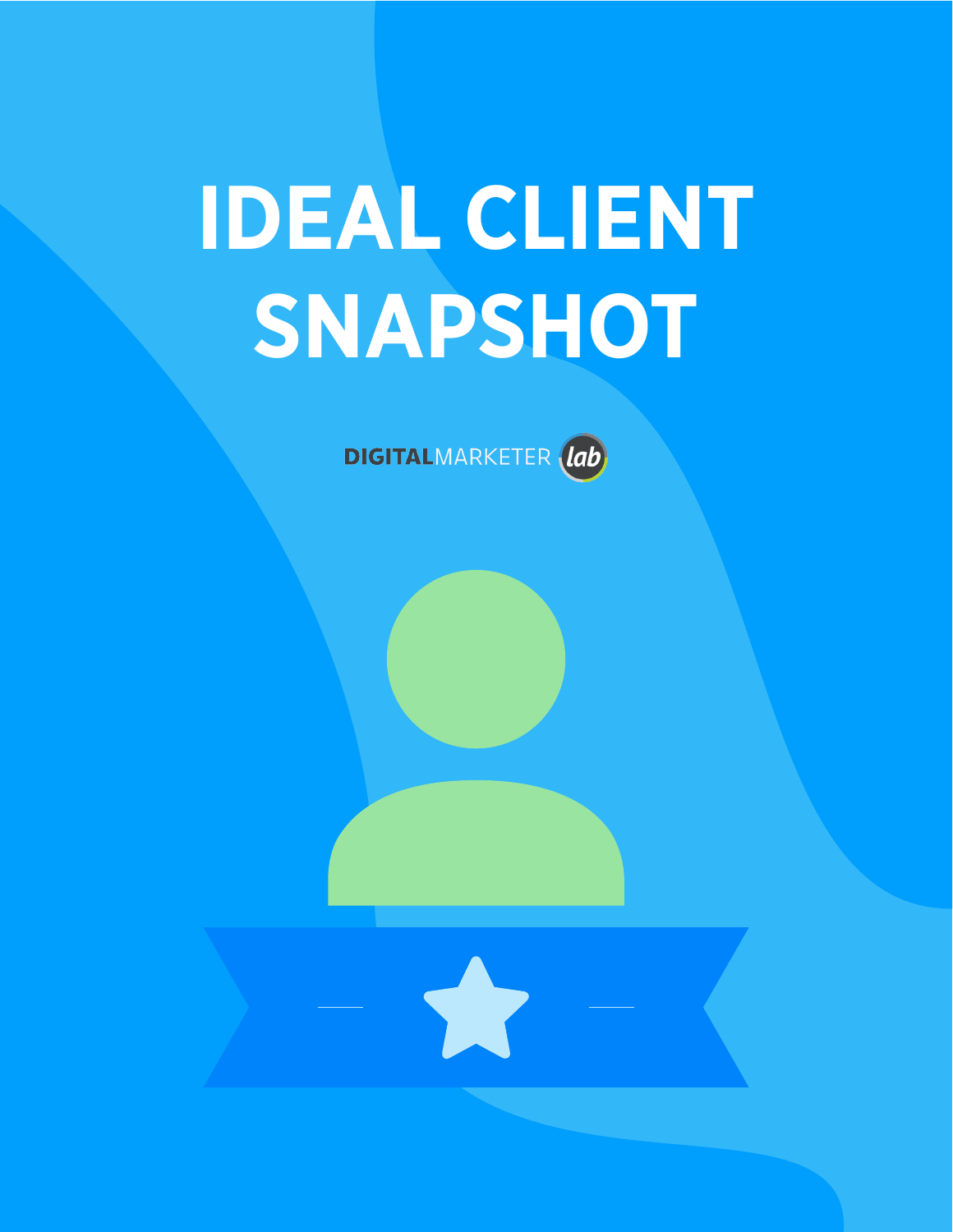# **IDEAL CLIENT SNAPSHOT**

DIGITALMARKETER (lab)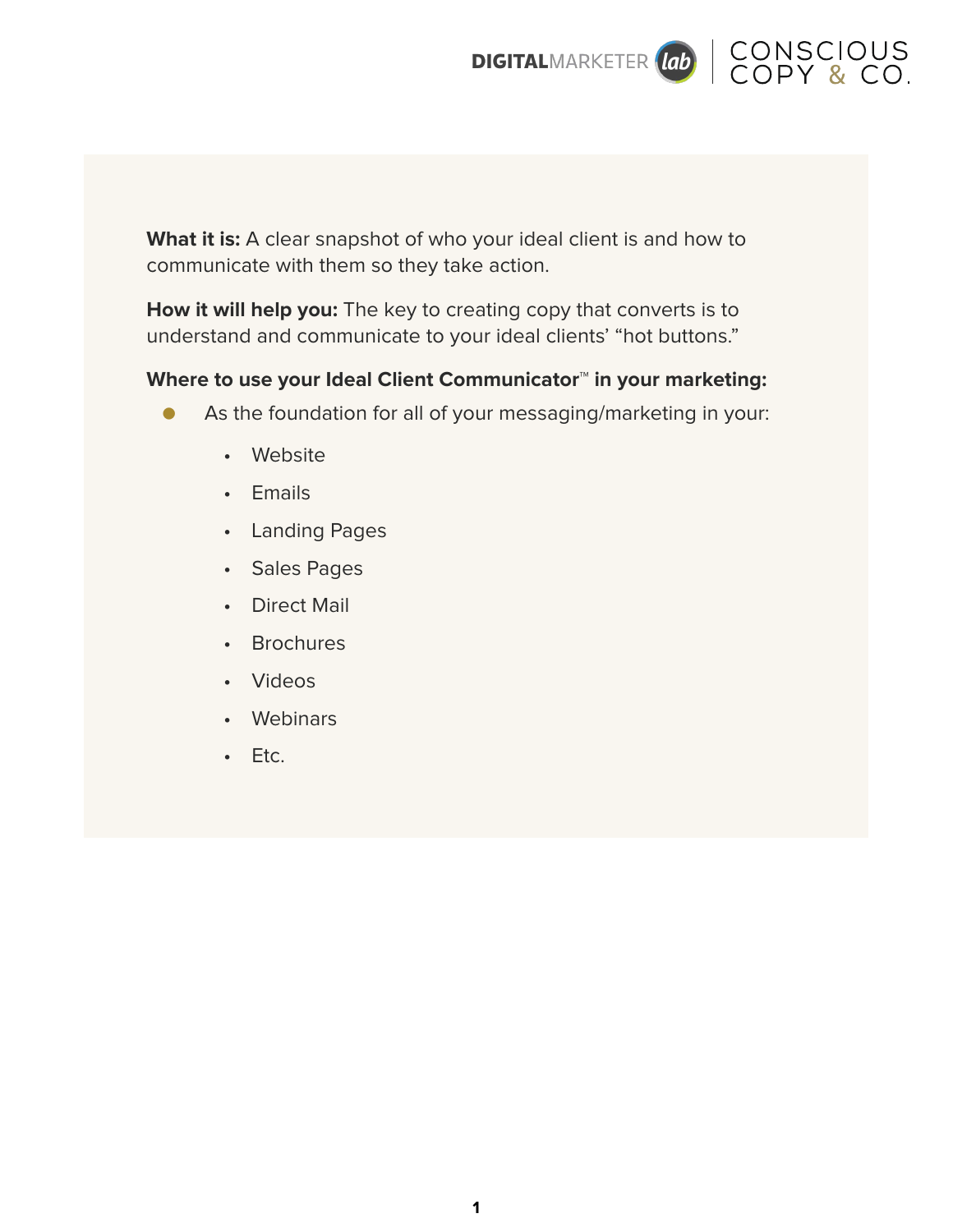

What it is: A clear snapshot of who your ideal client is and how to communicate with them so they take action.

**How it will help you:** The key to creating copy that converts is to understand and communicate to your ideal clients' "hot buttons."

#### **Where to use your Ideal Client Communicator™ in your marketing:**

- As the foundation for all of your messaging/marketing in your:
	- Website
	- Emails
	- Landing Pages
	- Sales Pages
	- Direct Mail
	- Brochures
	- Videos
	- Webinars
	- Etc.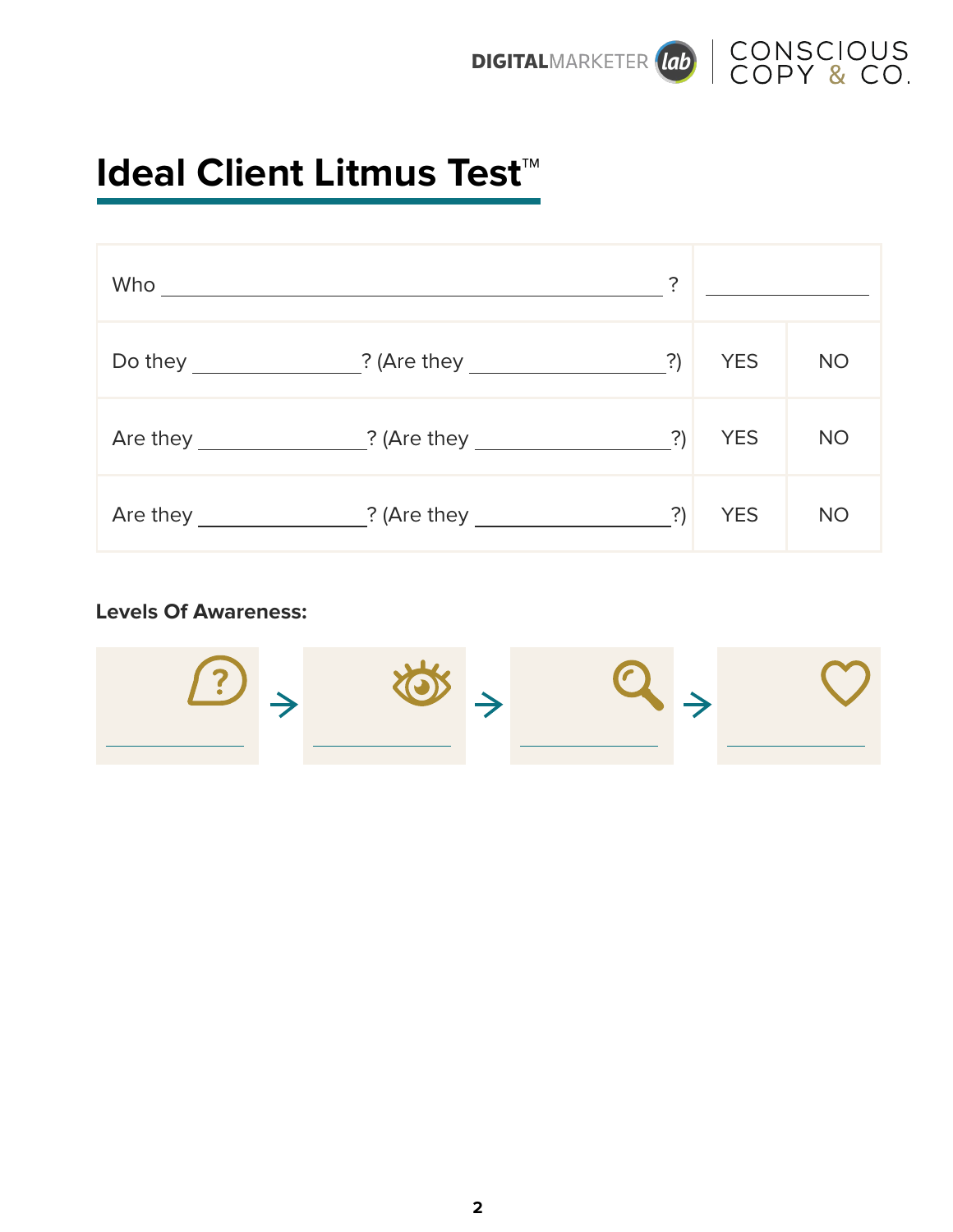



## **Ideal Client Litmus Test™**

| Who                             |                                                                                                                                                                                                                                | ?  |            |           |
|---------------------------------|--------------------------------------------------------------------------------------------------------------------------------------------------------------------------------------------------------------------------------|----|------------|-----------|
|                                 | Do they ________________? (Are they __________________?)                                                                                                                                                                       |    | <b>YES</b> | <b>NO</b> |
| Are they $\qquad \qquad \qquad$ |                                                                                                                                                                                                                                | ?) | <b>YES</b> | <b>NO</b> |
|                                 | Are they 2. (Are they controlled a control of the control of the control of the control of the control of the control of the control of the control of the control of the control of the control of the control of the control |    | <b>YES</b> | <b>NO</b> |

#### **Levels Of Awareness:**

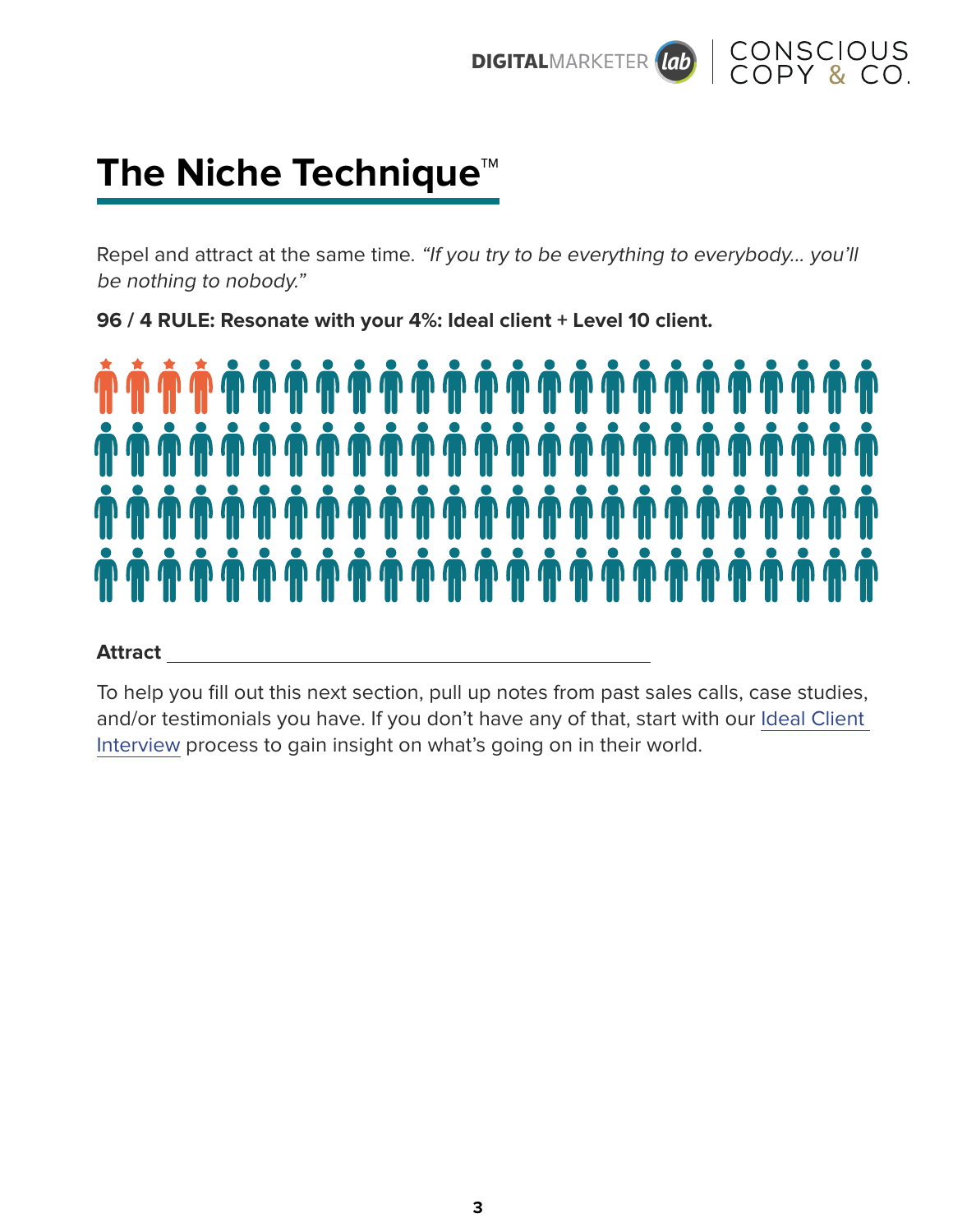



## **The Niche Technique™**

Repel and attract at the same time. "If you try to be everything to everybody... you'll be nothing to nobody."

**96 / 4 RULE: Resonate with your 4%: Ideal client + Level 10 client.** 



#### **Attract**

To help you fill out this next section, pull up notes from past sales calls, case studies, and/or testimonials you have. If you don't have any of that, start with our Ideal Client Interview process to gain insight on what's going on in their world.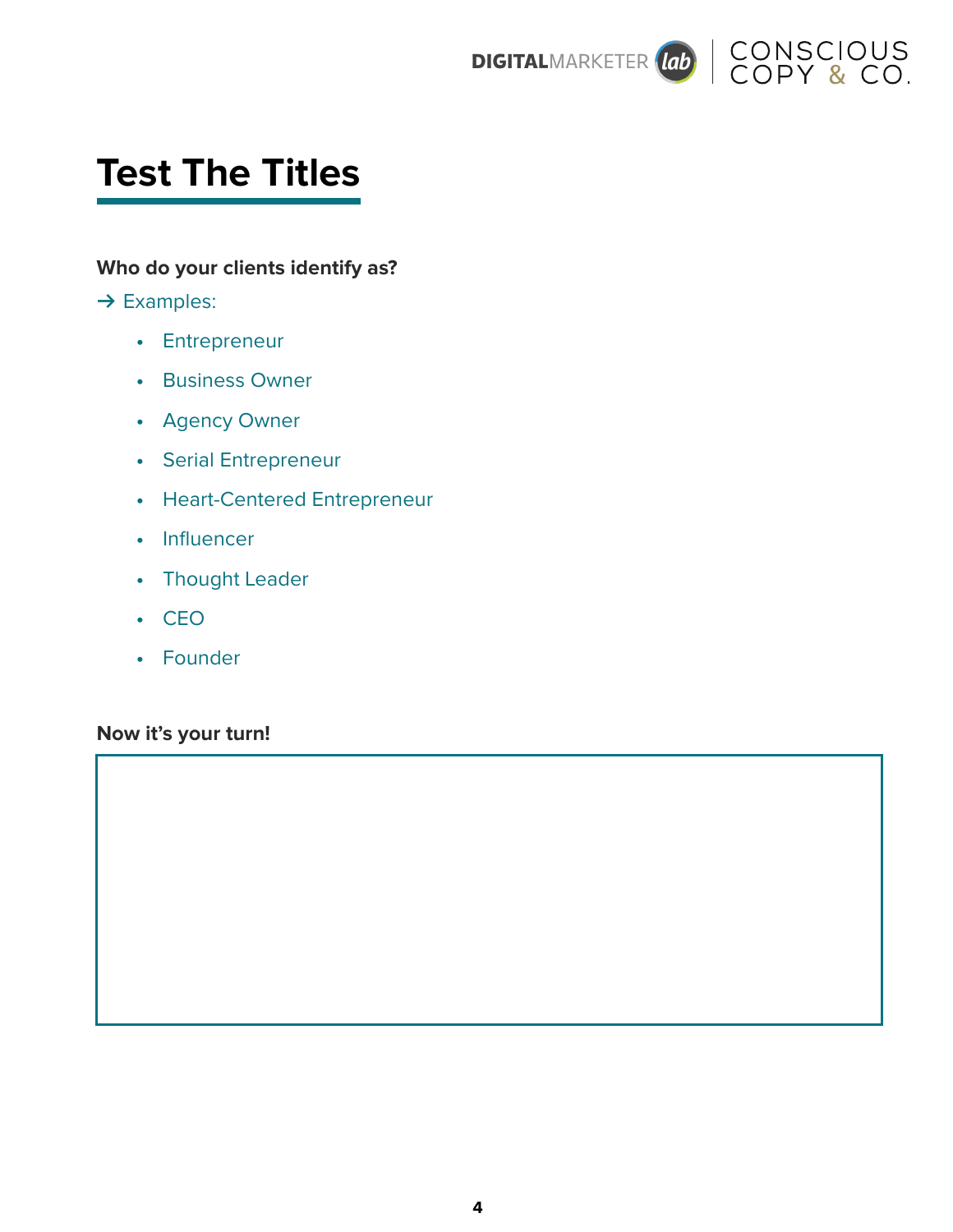



## **Test The Titles**

#### **Who do your clients identify as?**

#### **→ Examples:**

- **•** Entrepreneur
- **•** Business Owner
- **•** Agency Owner
- **•** Serial Entrepreneur
- **•** Heart-Centered Entrepreneur
- **•** Influencer
- **•** Thought Leader
- **•** CEO
- **•** Founder

#### **Now it's your turn!**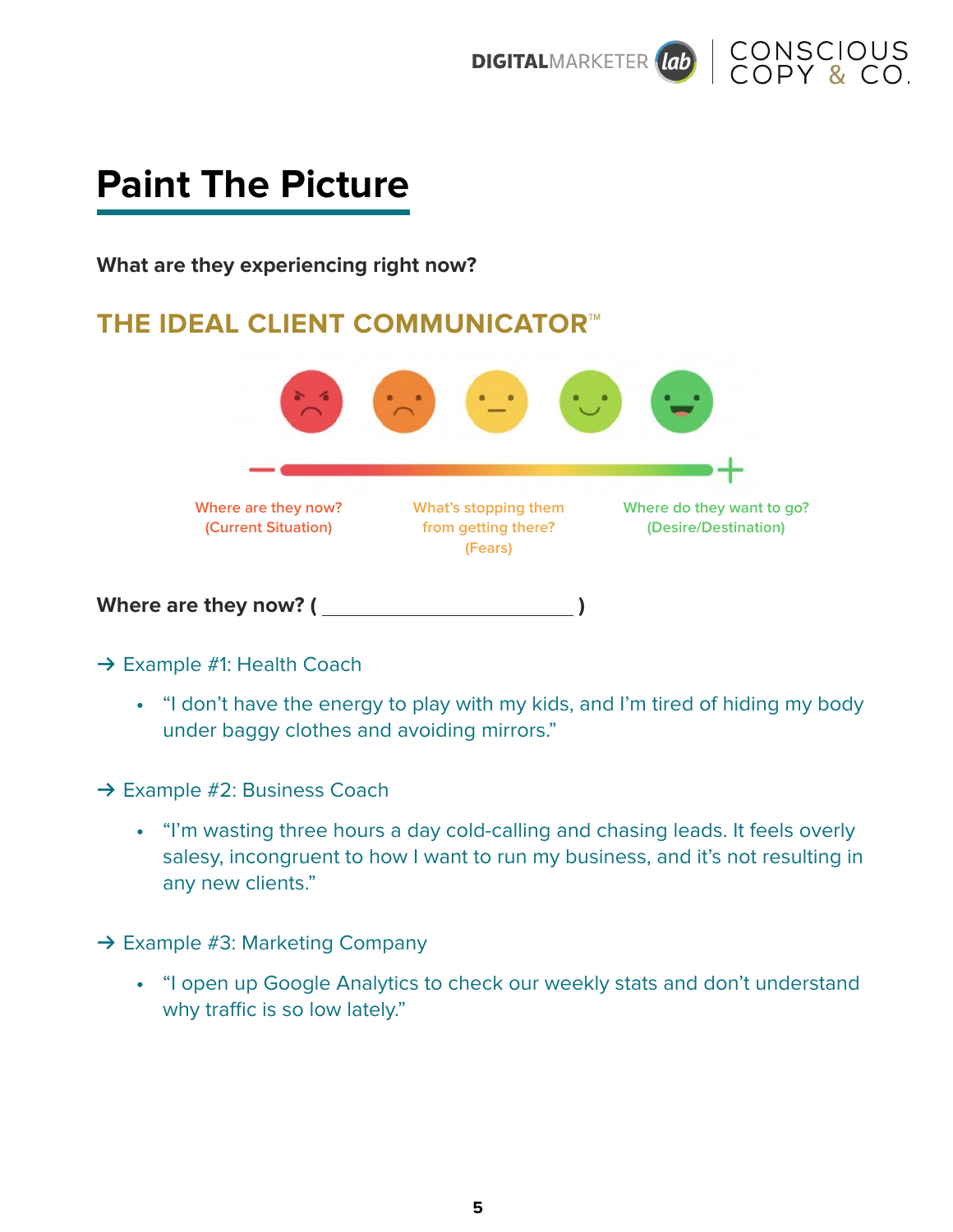



## **Paint The Picture**

**What are they experiencing right now?** 

### **THE IDEAL CLIENT COMMUNICATOR™**



- **→ Example #1: Health Coach** 
	- **•** "I don't have the energy to play with my kids, and I'm tired of hiding my body under baggy clothes and avoiding mirrors."
- → Example #2: Business Coach
	- **•** "I'm wasting three hours a day cold-calling and chasing leads. It feels overly salesy, incongruent to how I want to run my business, and it's not resulting in any new clients."
- **→ Example #3: Marketing Company** 
	- **•** "I open up Google Analytics to check our weekly stats and don't understand why traffic is so low lately."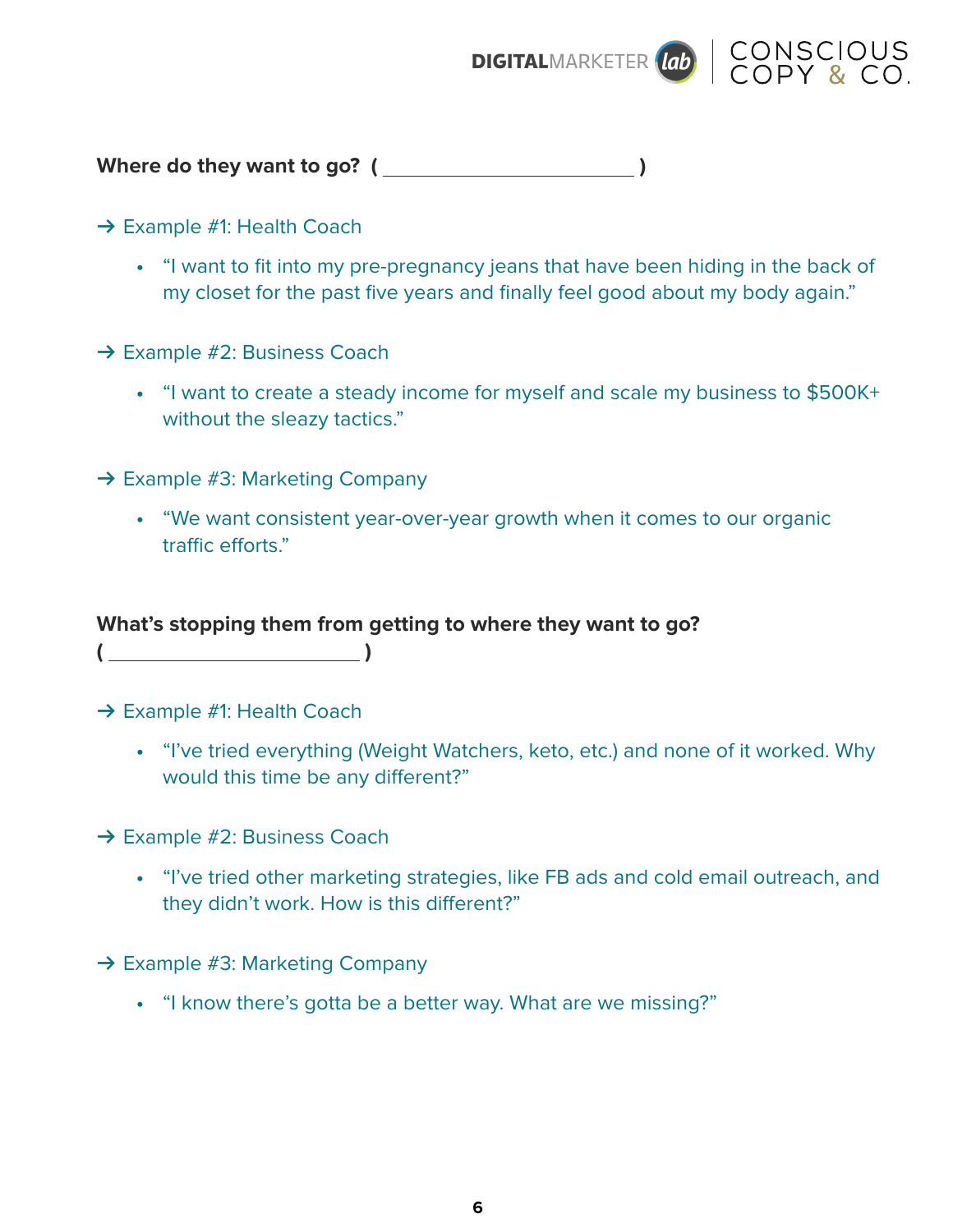



**Where do they want to go? ( )** 

- **→ Example #1: Health Coach** 
	- **•** "I want to fit into my pre-pregnancy jeans that have been hiding in the back of my closet for the past five years and finally feel good about my body again."
- **→ Example #2: Business Coach** 
	- **•** "I want to create a steady income for myself and scale my business to \$500K+ without the sleazy tactics."
- **→ Example #3: Marketing Company** 
	- **•** "We want consistent year-over-year growth when it comes to our organic traffic efforts."

#### **What's stopping them from getting to where they want to go?**

**→ Example #1: Health Coach** 

**( )** 

- **•** "I've tried everything (Weight Watchers, keto, etc.) and none of it worked. Why would this time be any different?"
- → Example #2: Business Coach
	- **•** "I've tried other marketing strategies, like FB ads and cold email outreach, and they didn't work. How is this different?"
- **→ Example #3: Marketing Company** 
	- **•** "I know there's gotta be a better way. What are we missing?"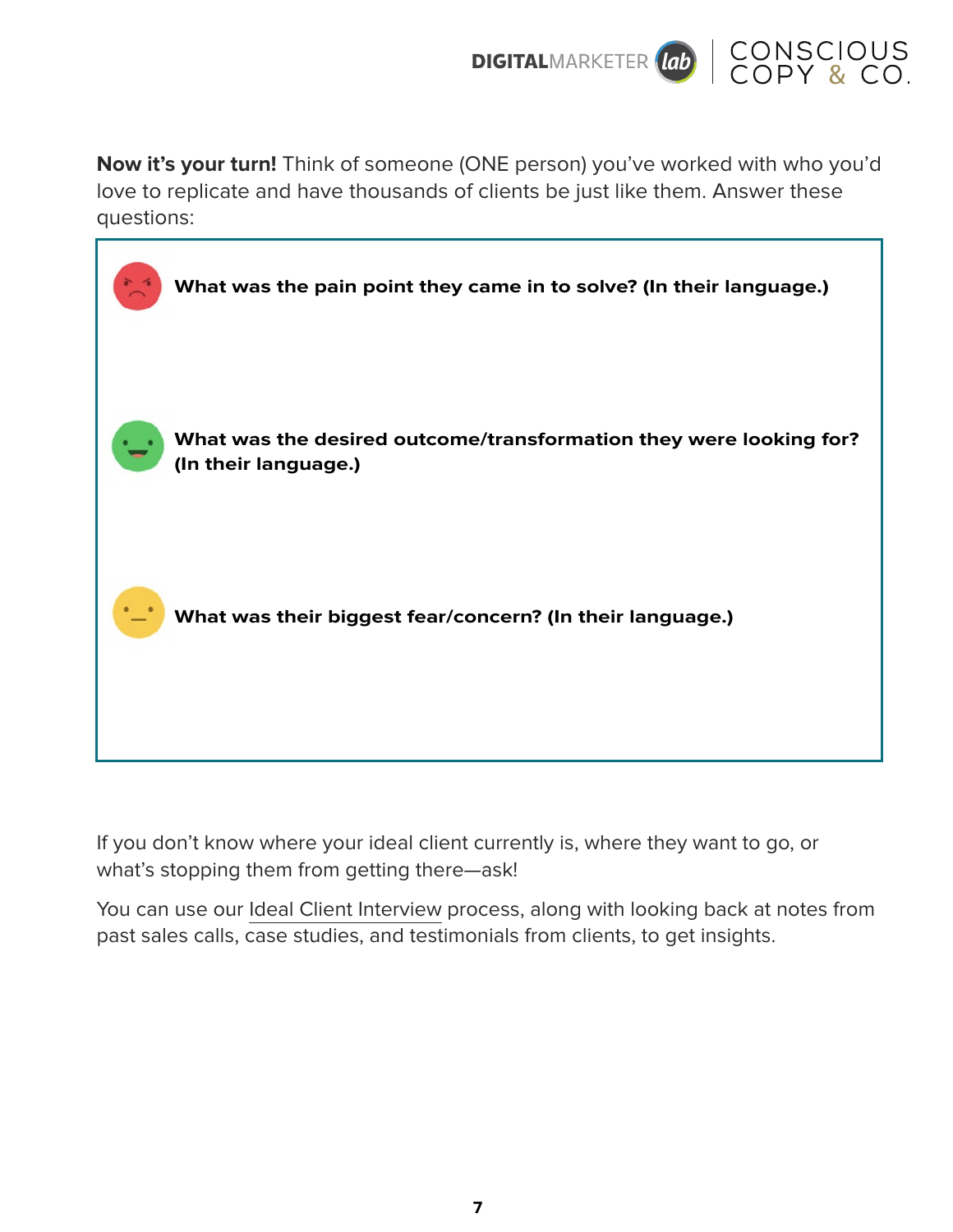



**Now it's your turn!** Think of someone (ONE person) you've worked with who you'd love to replicate and have thousands of clients be just like them. Answer these questions:

| What was the pain point they came in to solve? (In their language.)                        |
|--------------------------------------------------------------------------------------------|
| What was the desired outcome/transformation they were looking for?<br>(In their language.) |
| What was their biggest fear/concern? (In their language.)                                  |
|                                                                                            |

If you don't know where your ideal client currently is, where they want to go, or what's stopping them from getting there—ask!

You can use our Ideal Client Interview process, along with looking back at notes from past sales calls, case studies, and testimonials from clients, to get insights.